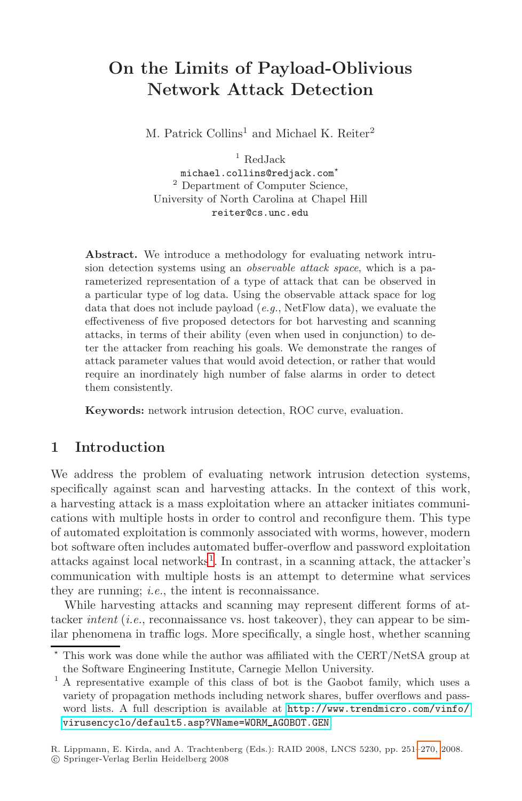# **On the Limits of Payload-Oblivious Network Attack Detection**

M. Patrick Collins<sup>1</sup> and Michael K. Reiter<sup>2</sup>

 $1$  RedJack <code>michael.collins@redjack.com $^\star$ </code> <sup>2</sup> Department of Computer Science, University of North Carolina at Chapel Hill reiter@cs.unc.edu

**Abstract.** We introduce a methodology for evaluating network intrusion detection systems using an observable attack space, which is a parameterized representation of a type of attack that can be observed in a particular type of log data. Using the observable attack space for log data that does not include payload  $(e, q, \text{NetFlow data})$ , we evaluate the effectiveness of five proposed detectors for bot harvesting and scanning attacks, in terms of their ability (even when used in conjunction) to deter the attacker from reaching his goals. We demonstrate the ranges of attack parameter values that would avoid detection, or rather that would require an inordinately high number of false alarms in order to detect them consistently.

**Keywords:** network intrusion detection, ROC curve, evaluation.

# **1 Intr[od](#page-0-0)uction**

We address the problem of evaluating network intrusion detection systems, specifically against scan and harvesting attacks. In the context of this work, a harvesting attack is a mass exploitation where an attacker initiates communications with multiple hosts in order to control and reconfigure them. This type of automated exploitation is commonly associated with worms, however, modern bot software often includes automated buffer-overflow and password exploitation attacks against local networks<sup>1</sup>. In contrast, in a scanning attack, the attacker's communication with multiple hosts is an attempt to determine what services they are running; i.e., the intent is reconnaissance.

<span id="page-0-0"></span>[While harvesting attacks and s](virusencyclo/default5.asp?VName=WORM_AGOBOT.GEN)[canning](http://www.trendmicro.com/vinfo/) [may](http://www.trendmicro.com/vinfo/) [represent](http://www.trendmicro.com/vinfo/) [diff](http://www.trendmicro.com/vinfo/)erent forms of attacker *intent* (*i.e.*, reconnaissance vs. host takeover), they can appear to be similar phenomena in traffic logs. More specifically, a [single](#page-19-0) host, whether scanning

 $\star$  This work was done while the author was affiliated with the CERT/NetSA group at the Software Engineering Institute, Carnegie Mellon University.

<sup>&</sup>lt;sup>1</sup> A representative example of this class of bot is the Gaobot family, which uses a variety of propagation methods including network shares, buffer overflows and password lists. A full description is available at http://www.trendmicro.com/vinfo/ virusencyclo/default5.asp?VName=WORM AGOBOT.GEN.

R. Lippmann, E. Kirda, and A. Trachtenberg (Eds.): RAID 2008, LNCS 5230, pp. 251–270, 2008.

<sup>-</sup>c Springer-Verlag Berlin Heidelberg 2008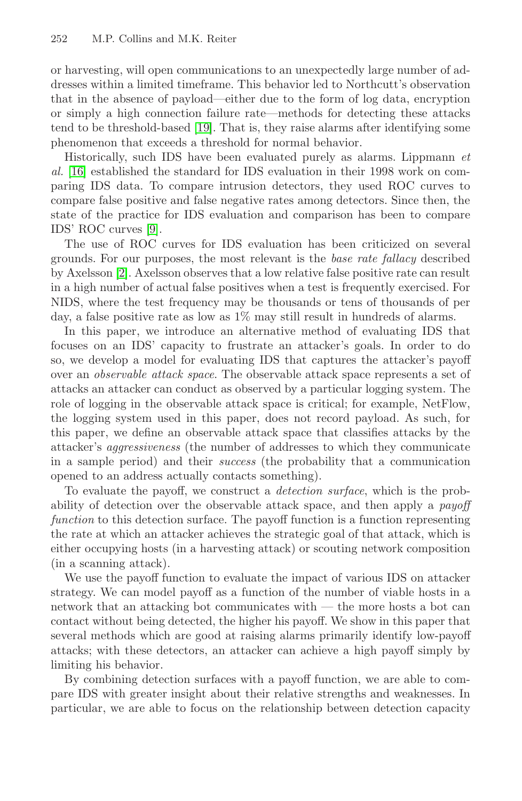or harvesting, will open communications to an unexpectedly large number of addresses within a limited timeframe. This behavior led to Northcutt's observation that in the absence of payload—either due to the form of log data, encryption [o](#page-18-0)r simply a high connection failure rate—methods for detecting these attacks tend to be threshold-based [19]. That is, they raise alarms after identifying some phenomenon that exceeds a threshold for normal behavior.

Historically, such IDS have been evaluated purely as alarms. Lippmann et al. [16] established the standard for IDS evaluation in their 1998 work on comparing IDS data. To compare intrusion detectors, they used ROC curves to compare false positive and false negative rates among detectors. Since then, the state of the practice for IDS evaluation and comparison has been to compare IDS' ROC curves [9].

The use of ROC curves for IDS evaluation has been criticized on several grounds. For our purposes, the most relevant is the base rate fallacy described by Axelsson [2]. Axelsson observes that a low relative false positive rate can result in a high number of actual false positives when a test is frequently exercised. For NIDS, where the test frequency may be thousands or tens of thousands of per day, a false positive rate as low as 1% may still result in hundreds of alarms.

In this paper, we introduce an alternative method of evaluating IDS that focuses on an IDS' capacity to frustrate an attacker's goals. In order to do so, we develop a model for evaluating IDS that captures the attacker's payoff over an observable attack space. The observable attack space represents a set of attacks an attacker can conduct as observed by a particular logging system. The role of logging in the observable attack space is critical; for example, NetFlow, the logging system used in this paper, does not record payload. As such, for this paper, we define an observable attack space that classifies attacks by the attacker's aggressiveness (the number of addresses to which they communicate in a sample period) and their success (the probability that a communication opened to an address actually contacts something).

To evaluate the payoff, we construct a detection surface, which is the probability of detection over the observable attack space, and then apply a payoff function to this detection surface. The payoff function is a function representing the rate at which an attacker achieves the strategic goal of that attack, which is either occupying hosts (in a harvesting attack) or scouting network composition (in a scanning attack).

We use the payoff function to evaluate the impact of various IDS on attacker strategy. We can model payoff as a function of the number of viable hosts in a network that an attacking bot communicates with — the more hosts a bot can contact without being detected, the higher his payoff. We show in this paper that several methods which are good at raising alarms primarily identify low-payoff attacks; with these detectors, an attacker can achieve a high payoff simply by limiting his behavior.

By combining detection surfaces with a payoff function, we are able to compare IDS with greater insight about their relative strengths and weaknesses. In particular, we are able to focus on the relationship between detection capacity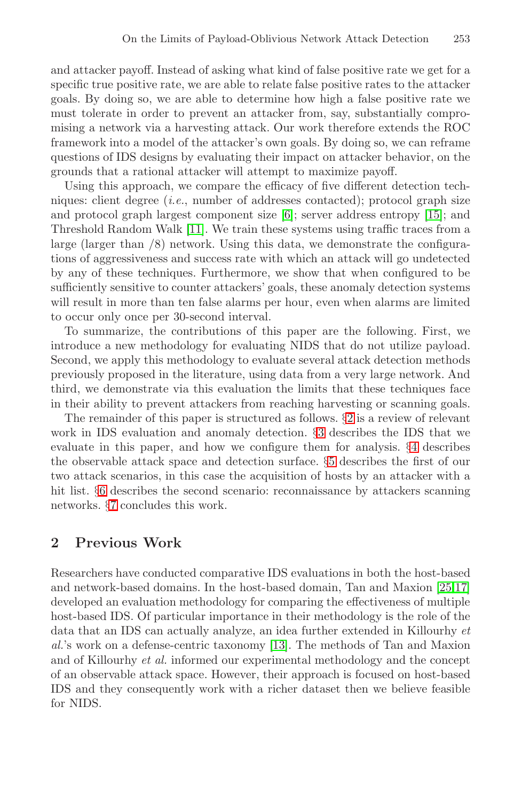and attacker payoff. Instead of asking what kind of false positive rate we get for a specific true positive rate, we are able to relate false positive rates to the attacker goals. By doing so, we a[re](#page-18-1) able to determine how h[igh](#page-19-1) a false positive rate we must t[oler](#page-19-2)ate in order to prevent an attacker from, say, substantially compromising a network via a harvesting attack. Our work therefore extends the ROC framework into a model of the attacker's own goals. By doing so, we can reframe questions of IDS designs by evaluating their impact on attacker behavior, on the grounds that a rational attacker will attempt to maximize payoff.

Using this approach, we compare the efficacy of five different detection techniques: client degree  $(i.e.,$  number of addresses contacted); protocol graph size and protocol graph largest component size [6]; server address entropy [15]; and Threshold Random Walk [11]. We train these systems using traffic traces from a large (larger than /8) network. Using this data, we demonstrate the configurations of aggressiveness and success rate with which an attack will go undetected by any of these techniques. Furthermore, we show that when configured to be sufficiently sensitive to counter attackers' goals, these anomaly detection systems will result in more than ten false ala[rm](#page-2-0)s per hour, even when alarms are limited to occur only once per 30-seco[nd](#page-3-0) interval.

To summarize, the contributions of this pap[er](#page-7-0) are the following. First, we introduce a new methodology for [e](#page-10-0)valuating NIDS that do not utilize payload. Second, we apply this methodology to evaluate several attack detection methods previously proposed in the literature, using data from a very large network. And third, we demonstrate via this evaluation the limits that these techniques face in their ability to prevent attackers from reaching harvesting or scanning goals.

<span id="page-2-0"></span>The remainder of this paper is structured as follows. §2 is a review of relevant work in IDS evaluation and anomaly detection. §3 describes the IDS that we evaluate in this paper, and how we configure them for analysis. §4 describes the observable attack space and detection surface. §5 describes the first of our two attack scenarios, in this case the acquisition of ho[sts](#page-19-3) [by](#page-19-4) an attacker with a hit list. §6 describes the second scenario: reconnaissance by attackers scanning networks. §7 concludes this work.

# **2 Previous Wo[rk](#page-19-5)**

Researchers have conducted comparative IDS evaluations in both the host-based and network-based domains. In the host-based domain, Tan and Maxion [25,17] developed an evaluation methodology for comparing the effectiveness of multiple host-based IDS. Of particular importance in their methodology is the role of the data that an IDS can actually analyze, an idea further extended in Killourhy et al.'s work on a defense-centric taxonomy [13]. The methods of Tan and Maxion and of Killourhy et al. informed our experimental methodology and the concept of an observable attack space. However, their approach is focused on host-based IDS and they consequently work with a richer dataset then we believe feasible for NIDS.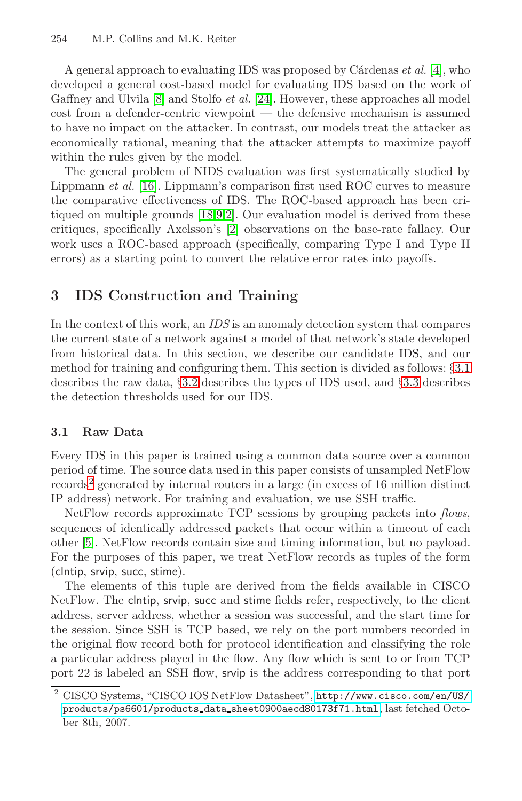A general approach to evaluating IDS was proposed by Cárdenas  $et al. [4]$ , who developed a general cost-based model for evaluating IDS based on the work of Gaffney [and](#page-19-6) [U](#page-18-0)[lv](#page-18-2)ila [8] and Stolfo et al. [24]. However, these approaches all model cost from a de[fe](#page-18-2)nder-centric viewpoint — the defensive mechanism is assumed to have no impact on the attacker. In contrast, our models treat the attacker as economically rational, meaning that the attacker attempts to maximize payoff within the rules given by the model.

<span id="page-3-0"></span>The general problem of NIDS evaluation was first systematically studied by Lippmann et al. [16]. Lippmann's comparison first used ROC curves to measure the comparative effectiveness of IDS. The ROC-based approach has been critiqued on multiple grounds [18,9,2]. Our evaluation model is derived from these critiques, specifically Axelsson's [2] observations on the base-rate fallacy. Our work uses a ROC-based approach (specifically, comparing Type I and Type II errors) as a starting point to convert the relative error ra[tes](#page-3-1) into payoffs.

# <span id="page-3-1"></span>**3 IDS Construction and Training**

In the context of this work, an IDS is an anomaly detection system that compares the current state of a network against a model of that network's state developed from historical data. In this section, we describe our candidate IDS, and our method for training and configuring them. This section is divided as follows: §3.1 describes the raw data, §3.2 describes the types of IDS used, and §3.3 describes the detection thresholds used for our IDS.

### **3.1 Raw Data**

Every IDS in this paper is trained using a common data source over a common period of time. The source data used in this paper consists of unsampled NetFlow records<sup>2</sup> generated by internal routers in a large (in excess of 16 million distinct IP address) network. For training and evaluation, we use SSH traffic.

NetFlow records approximate TCP sessions by grouping packets into flows, sequences of identically addressed packets that occur within a timeout of each other [5]. NetFlow records contain size and timing information, but no payload. For the purposes of this paper, we treat NetFlow records as tuples of the form (clntip, srvip, succ, stime).

The elements of this tuple [are derived from the fields av](http://www.cisco.com/en/US/)ailable in CISCO [NetFlow. The](products/ps6601/products_data_sheet0900aecd80173f71.html) clntip, srvip, succ and stime fields refer, respectively, to the client address, server address, whether a session was successful, and the start time for the session. Since SSH is TCP based, we rely on the port numbers recorded in the original flow record both for protocol identification and classifying the role a particular address played in the flow. Any flow which is sent to or from TCP port 22 is labeled an SSH flow, srvip is the address corresponding to that port

<sup>2</sup> CISCO Systems, "CISCO IOS NetFlow Datasheet", http://www.cisco.com/en/US/ products/ps6601/products data sheet0900aecd80173f71.html, last fetched October 8th, 2007.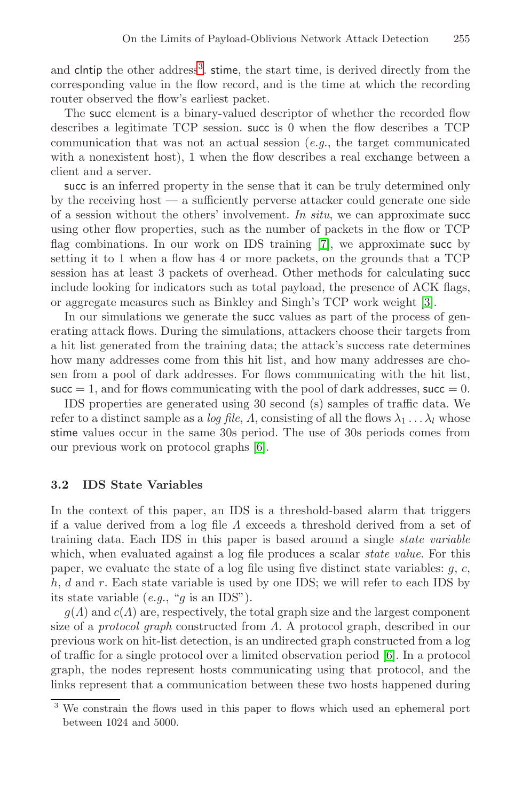and clntip the other address<sup>3</sup>. stime, the start time, is derived directly from the corresponding value in the flow record, and is the time at which the recording router observed the flow's earliest packet.

The succ element is a binary-valued descriptor of whether the recorded flow describes a legitimate TCP ses[sio](#page-18-3)n. succ is 0 when the flow describes a TCP communication that was not an actual session  $(e.g., the target communicated$ with a nonexistent host), 1 when the flow describes a real exchange between a client and a server.

succ is an inferred property in the sense that it c[an](#page-18-4) be truly determined only by the receiving host — a sufficiently perverse attacker could generate one side of a session without the others' involvement. In situ, we can approximate successive using other flow properties, such as the number of packets in the flow or TCP flag combinations. In our work on IDS training [7], we approximate succ by setting it to 1 when a flow has 4 or more packets, on the grounds that a TCP session has at least 3 packets of overhead. Other methods for calculating succ include looking for indicators such as total payload, the presence of ACK flags, or aggregate measures such as Binkley and Singh's TCP work weight [3].

In our simulations we generate the succ values as part of the process of generating attack flows[. D](#page-18-1)uring the simulations, attackers choose their targets from a hit list generated from the training data; the attack's success rate determines how many addresses come from this hit list, and how many addresses are chosen from a pool of dark addresses. For flows communicating with the hit list, succ  $= 1$ , and for flows communicating with the pool of dark addresses, succ  $= 0$ .

IDS properties are generated using 30 second (s) samples of traffic data. We refer to a distinct sample as a *log file, A*, consisting of all the flows  $\lambda_1 \dots \lambda_l$  whose stime values occur in the same 30s period. The use of 30s periods comes from our previous work on protocol graphs [6].

### **3.2 IDS State Variables**

In the context of this paper, an IDS is a threshold-based alarm that triggers if a value derived from a log file  $\Lambda$  exceeds a threshold derived from a set of training data. Each IDS in this paper is b[as](#page-18-1)ed around a single state variable which, when evaluated against a log file produces a scalar *state value*. For this paper, we evaluate the state of a log file using five distinct state variables:  $g, c$ , h, d and r. Each state variable is used by one IDS; we will refer to each IDS by its state variable  $(e.g., "g is an IDs").$ 

 $g(\Lambda)$  and  $c(\Lambda)$  are, respectively, the total graph size and the largest component size of a *protocol graph* constructed from  $\Lambda$ . A protocol graph, described in our previous work on hit-list detection, is an undirected graph constructed from a log of traffic for a single protocol over a limited observation period [6]. In a protocol graph, the nodes represent hosts communicating using that protocol, and the links represent that a communication between these two hosts happened during

We constrain the flows used in this paper to flows which used an ephemeral port between 1024 and 5000.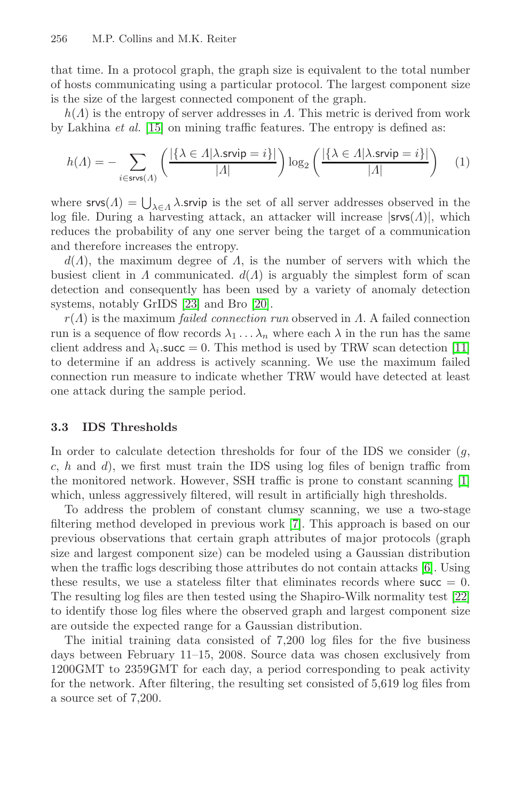that time. In a protocol graph, the graph size is equivalent to the total number of hosts communicating using a particular protocol. The largest component size is the size of the largest connected component of the graph.

 $h(\Lambda)$  is the entropy of server addresses in  $\Lambda$ . This metric is derived from work by Lakhina et al. [15] on mining traffic features. The entropy is defined as:

$$
h(\Lambda) = -\sum_{i \in \text{srvs}(\Lambda)} \left( \frac{|\{\lambda \in \Lambda | \lambda.\text{srvip} = i\}|}{|\Lambda|} \right) \log_2 \left( \frac{|\{\lambda \in \Lambda | \lambda.\text{srvip} = i\}|}{|\Lambda|} \right) \tag{1}
$$

where  $\mathsf{svss}(A) = \bigcup_{\lambda \in A} \lambda$ .[srv](#page-19-7)ip is the set of all server addresses observed in the log file. During a harvesting attack, an attacker will increase  $|srvs(\Lambda)|$ , which reduces the probability of any one server being the targ[et o](#page-19-2)f a communication and therefore increases the entropy.

 $d(\Lambda)$ , the maximum degree of  $\Lambda$ , is the number of servers with which the busiest client in  $\Lambda$  communicated.  $d(\Lambda)$  is arguably the simplest form of scan detection and consequently has been used by a variety of anomaly detection systems, notably GrIDS [23] and Bro [20].

 $r(\Lambda)$  is the maximum *failed connection run* observed in  $\Lambda$ . A failed connection run is a sequence of flow records  $\lambda_1 \ldots \lambda_n$  where each  $\lambda$  in the run has the same client address and  $\lambda_i$ .succ = 0. This method is used by TRW scan detection [11] to determine if an address is actively scanning. We use [th](#page-18-5)e maximum failed connection run measure to indicate whether TRW would have detected at least one attack during the sample period.

# **3.3 IDS Thresholds**

In [o](#page-18-1)rder to calculate detection thresholds for four of the IDS we consider  $(g,$  $c, h$  and  $d$ ), we first must train the IDS using log files of benign traffic from the monitored network. However, SSH traffic is prone to [co](#page-19-8)nstant scanning [1] which, unless aggressively filtered, will result in artificially high thresholds.

To address the problem of constant clumsy scanning, we use a two-stage filtering method developed in previous work [7]. This approach is based on our previous observations that certain graph attributes of major protocols (graph size and largest component size) can be modeled using a Gaussian distribution when the traffic logs describing those attributes do not contain attacks [6]. Using these results, we use a stateless filter that eliminates records where  $succ = 0$ . The resulting log files are then tested using the Shapiro-Wilk normality test [22] to identify those log files where the observed graph and largest component size are outside the expected range for a Gaussian distribution.

The initial training data consisted of 7,200 log files for the five business days between February 11–15, 2008. Source data was chosen exclusively from 1200GMT to 2359GMT for each day, a period corresponding to peak activity for the network. After filtering, the resulting set consisted of 5,619 log files from a source set of 7,200.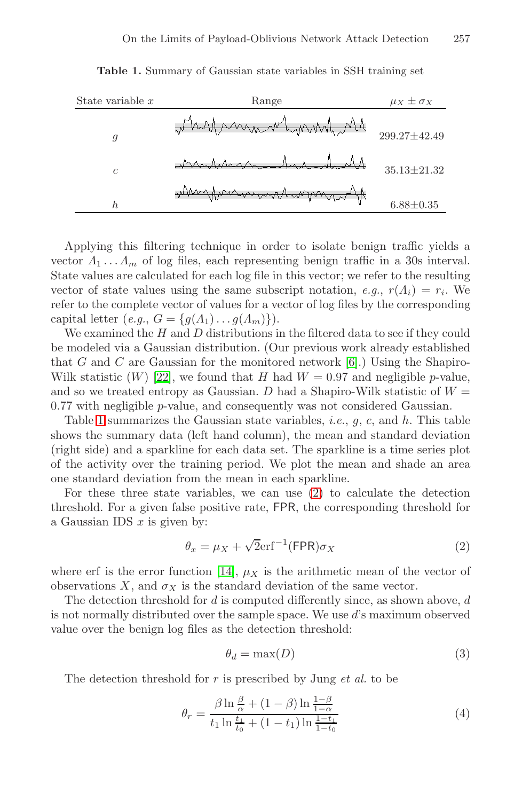<span id="page-6-3"></span>

| State variable $x$ | Range                     | $\mu_X \pm \sigma_X$ |
|--------------------|---------------------------|----------------------|
| 9                  | Muntwardmand              | 299.27±42.49         |
| $\mathfrak{c}$     | <u> initianna hich di</u> | $35.13 \pm 21.32$    |
| h                  | Mangument was             | $6.88 \pm 0.35$      |

**Table 1.** Summary of Gaussian state variables in SSH training set

Applying this filtering technique [in](#page-18-1) order to isolate benign traffic yields a [vect](#page-19-8)or  $\Lambda_1 \ldots \Lambda_m$  of log files, each representing benign traffic in a 30s interval. State values are calculated for each log file in this vector; we refer to the resulting vector of state values using the same subscript notation, e.g.,  $r(\Lambda_i) = r_i$ . We refer to the complete vector of values for a vector of log files by the corresponding capital letter  $(e.g., G = \{g(A_1) \dots g(A_m)\})$ .

We examined the  $H$  and  $D$  distributions in the filtered data to see if they could be modeled via a Gaussian distribution. (Our previous work already established that G and C are Gaussian for the monitored network  $[6]$ .) Using the Shapiro-Wilk statistic  $(W)$  [22], we fo[un](#page-6-0)d that H had  $W = 0.97$  and negligible p-value, and so we treated entropy as Gaussian. D had a Shapiro-Wilk statistic of  $W =$ 0.77 with negligible p-value, and consequently was not considered Gaussian.

<span id="page-6-0"></span>Table 1 summarizes the Gaussian state variables, *i.e.*,  $q$ ,  $c$ , and  $h$ . This table shows the summary data (left hand column), the mean and standard deviation (right side) and a sparkline for each data set. The sparkline is a time series plot of the activi[ty](#page-19-9) [o](#page-19-9)ver the training period. We plot the mean and shade an area one standard deviation from the mean in each sparkline.

For these three state variables, we can use (2) to calculate the detection threshold. For a given false positive rate, FPR, the corresponding threshold for a Gaussian IDS  $x$  is given by:

<span id="page-6-2"></span><span id="page-6-1"></span>
$$
\theta_x = \mu_X + \sqrt{2} \text{erf}^{-1} (\text{FPR}) \sigma_X \tag{2}
$$

where erf is the error function [14],  $\mu_X$  is the arithmetic mean of the vector of observations X, and  $\sigma_X$  is the standard deviation of the same vector.

The detection threshold for  $d$  is computed differently since, as shown above,  $d$ is not normally distributed over the sample space. We use d's maximum observed value over the benign log files as the detection threshold:

$$
\theta_d = \max(D) \tag{3}
$$

The detection threshold for  $r$  is prescribed by Jung  $et$  al. to be

$$
\theta_r = \frac{\beta \ln \frac{\beta}{\alpha} + (1 - \beta) \ln \frac{1 - \beta}{1 - \alpha}}{t_1 \ln \frac{t_1}{t_0} + (1 - t_1) \ln \frac{1 - t_1}{1 - t_0}}
$$
(4)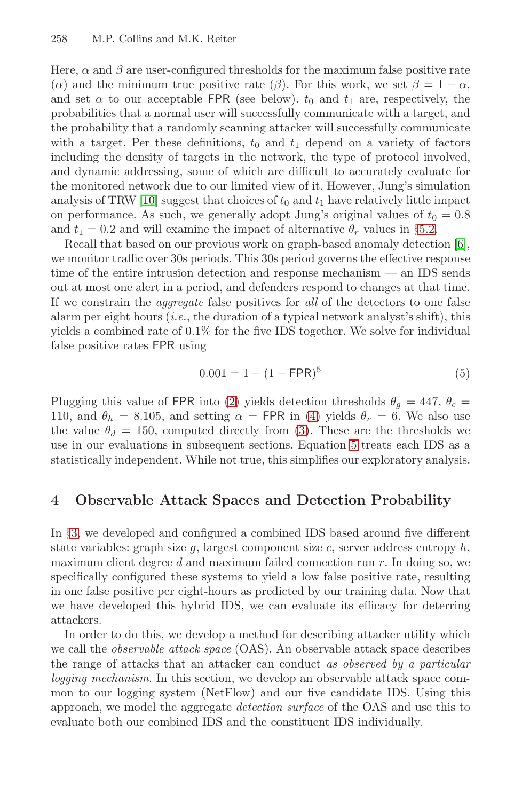Here,  $\alpha$  and  $\beta$  are user-configured thresholds for the maximum false positive rate [\(](#page-18-6) $\alpha$ ) and the minimum true positive rate ( $\beta$ ). For this work, we set  $\beta = 1 - \alpha$ , and set  $\alpha$  to our acceptable FPR (see below).  $t_0$  and  $t_1$  are, respectively, the probabilities that a normal user will successfully co[mmu](#page-13-0)nicate with a target, and the probability that a randomly scanning attacker will suc[ces](#page-18-1)sfully communicate with a target. Per these definitions,  $t_0$  and  $t_1$  depend on a variety of factors including the density of targets in the network, the type of protocol involved, and dynamic addressing, some of which are difficult to accurately evaluate for the monitored network due to our limited view of it. However, Jung's simulation analysis of TRW [10] suggest that choices of  $t_0$  and  $t_1$  have relatively little impact on performance. As such, we generally adopt Jung's original values of  $t_0 = 0.8$ and  $t_1 = 0.2$  and will examine the impact of alternative  $\theta_r$  values in §5.2.

<span id="page-7-1"></span>Recall that based on our previous work on graph-based anomaly detection [6], we monitor traffic over 30s periods. This 30s period governs the effective response time of the entire intrusion detection and response mechanism — an IDS sends out at most on[e a](#page-6-0)lert in a period, and defenders respond to changes at that time. If we constrain the aggregate [fa](#page-6-1)lse positives for all of the detectors to one false alarm per eight hours (*i.e.*, [the](#page-6-2) duration of a typical network analyst's shift), this yields a combined rate of 0.1% for th[e fi](#page-7-1)ve IDS together. We solve for individual false positive rates FPR using

$$
0.001 = 1 - (1 - \text{FPR})^5 \tag{5}
$$

<span id="page-7-0"></span>Plugging this value of FPR into (2) yields detection thresholds  $\theta_q = 447$ ,  $\theta_c =$ 110, and  $\theta_h = 8.105$ , and setting  $\alpha = \text{FPR}$  in (4) yields  $\theta_r = 6$ . We also use the value  $\theta_d = 150$ , computed directly from (3). These are the thresholds we use in our evaluations in subsequent sections. Equation 5 treats each IDS as a statistically independent. While not true, this simplifies our exploratory analysis.

# **4 Observable Attack Spaces and Detection Probability**

In §3, we developed and configured a combined IDS based around five different state variables: graph size  $q$ , largest component size  $c$ , server address entropy  $h$ , maximum client degree d and maximum failed connection run  $r$ . In doing so, we specifically configured these systems to yield a low false positive rate, resulting in one false positive per eight-hours as predicted by our training data. Now that we have developed this hybrid IDS, we can evaluate its efficacy for deterring attackers.

In order to do this, we develop a method for describing attacker utility which we call the *observable attack space* (OAS). An observable attack space describes the range of attacks that an attacker can conduct as observed by a particular logging mechanism. In this section, we develop an observable attack space common to our logging system (NetFlow) and our five candidate IDS. Using this approach, we model the aggregate detection surface of the OAS and use this to evaluate both our combined IDS and the constituent IDS individually.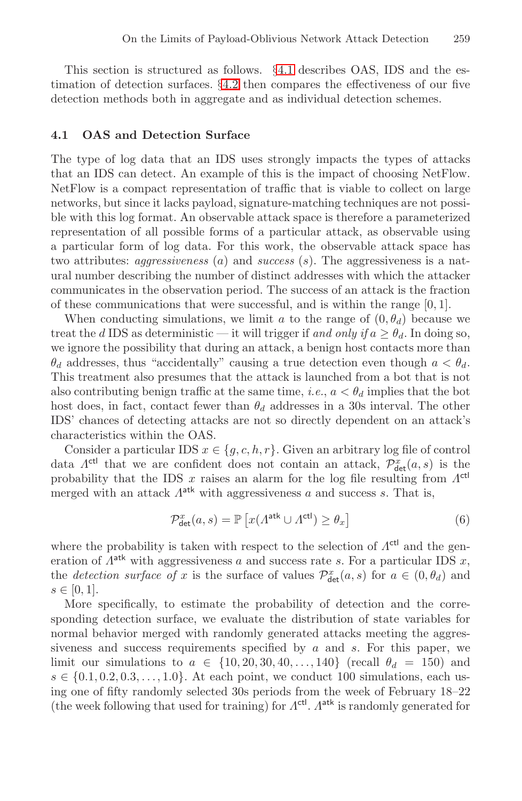This section is structured as follows. §4.1 describes OAS, IDS and the estimation of detection surfaces. §4.2 then compares the effectiveness of our five detection methods both in aggregate and as individual detection schemes.

## **4.1 OAS and Detection Surface**

The type of log data that an IDS uses strongly impacts the types of attacks that an IDS can detect. An example of this is the impact of choosing NetFlow. NetFlow is a compact representation of traffic that is viable to collect on large networks, but since it lacks payload, signature-matching techniques are not possible with this log format. An observable attack space is therefore a parameterized representation of all possible forms of a particular attack, as observable using a particular form of log data. For this work, the observable attack space has two attributes: *aggressiveness* (*a*) and *success* (*s*). The aggressiveness is a natural number describing the number of distinct addresses with which the attacker communicates in the observation period. The success of an attack is the fraction of these communications that were successful, and is within the range [0, 1].

When conducting simulations, we limit a to the range of  $(0, \theta_d)$  because we treat the d IDS as deterministic — it will trigger if and only if  $a > \theta_d$ . In doing so, we ignore the possibility that during an attack, a benign host contacts more than  $\theta_d$  addresses, thus "accidentally" causing a true detection even though  $a < \theta_d$ . This treatment also presumes that the attack is launched from a bot that is not also contributing benign traffic at the same time, *i.e.*,  $a < \theta_d$  implies that the bot host does, in fact, contact fewer than  $\theta_d$  addresses in a 30s interval. The other IDS' chances of detecting attacks are not so directly dependent on an attack's characteristics within the OAS.

Consider a particular IDS  $x \in \{g, c, h, r\}$ . Given an arbitrary log file of control data  $\Lambda^{\text{ctl}}$  that we are confident does not contain an attack,  $\mathcal{P}^x_{\text{det}}(a, s)$  is the probability that the IDS x raises an alarm for the log file resulting from  $\Lambda^{\text{ctl}}$ merged with an attack  $\Lambda^{\text{atk}}$  with aggressiveness a and success s. That is,

$$
\mathcal{P}_{\text{det}}^{x}(a,s) = \mathbb{P}\left[x(\Lambda^{\text{atk}} \cup \Lambda^{\text{ctl}}) \ge \theta_x\right] \tag{6}
$$

where the probability is taken with respect to the selection of  $\Lambda^{\text{ctl}}$  and the generation of  $\Lambda^{alt}$  with aggressiveness a and success rate s. For a particular IDS x, the *detection surface of* x is the surface of values  $\mathcal{P}_{\det}^x(a, s)$  for  $a \in (0, \theta_d)$  and  $s \in [0, 1].$ 

More specifically, to estimate the probability of detection and the corresponding detection surface, we evaluate the distribution of state variables for normal behavior merged with randomly generated attacks meeting the aggressiveness and success requirements specified by  $a$  and  $s$ . For this paper, we limit our simulations to  $a \in \{10, 20, 30, 40, \ldots, 140\}$  (recall  $\theta_d = 150$ ) and  $s \in \{0.1, 0.2, 0.3, \ldots, 1.0\}$ . At each point, we conduct 100 simulations, each using one of fifty randomly selected 30s periods from the week of February 18–22 (the week following that used for training) for  $\Lambda^{\text{ctl}}$ .  $\Lambda^{\text{atk}}$  is randomly generated for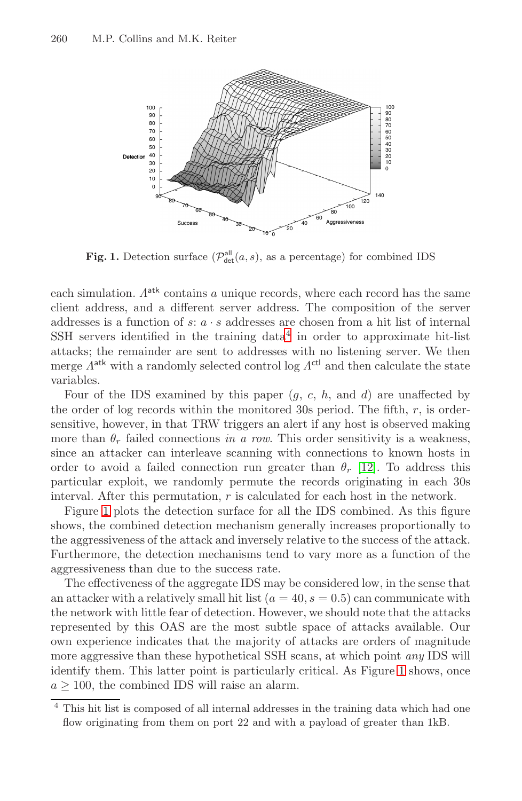

**Fig. 1.** Detection surface  $(\mathcal{P}_{\text{det}}^{\text{all}}(a, s))$ , as a percentage) for combined IDS

<span id="page-9-1"></span>each simulation.  $A^{atk}$  contains a unique records, where each record has the same client address, and a different server address. The composition of the server addresses is a function of  $s: a \cdot s$  addresses are chosen from a hit list of internal  $SSH$  servers identified in the training data<sup>4</sup> in order to approximate hit-list attacks; the remainder are sent to add[ress](#page-19-10)es with no listening server. We then merge  $\Lambda^{\text{atk}}$  with a randomly selected control log  $\Lambda^{\text{ctrl}}$  and then calculate the state variables.

Four of the IDS examined by this paper  $(q, c, h, \text{ and } d)$  are unaffected by the order of log records within the monitored 30s period. The fifth,  $r$ , is ordersensitive, however, in that TRW triggers an alert if any host is observed making more than  $\theta_r$  failed connections in a row. This order sensitivity is a weakness, since an attacker can interleave scanning with connections to known hosts in order to avoid a failed connection run greater than  $\theta_r$  [12]. To address this particular exploit, we randomly permute the records originating in each 30s interval. After this permutation,  $r$  is calculated for each host in the network.

Figure 1 plots the detection surface for all the IDS combined. As this figure shows, the combined detection mechanism generally increases proportionally to the aggressiveness of the attack and inversely relative to the success of the attack. Furthermore, the detection mechanisms tend [to](#page-9-1) vary more as a function of the aggressiveness than due to the success rate.

<span id="page-9-0"></span>The effectiveness of the aggregate IDS may be considered low, in the sense that an attacker with a relatively small hit list  $(a = 40, s = 0.5)$  can communicate with the network with little fear of detection. However, we should note that the attacks represented by this OAS are the most subtle space of attacks available. Our own experience indicates that the majority of attacks are orders of magnitude more aggressive than these hypothetical SSH scans, at which point any IDS will identify them. This latter point is particularly critical. As Figure 1 shows, once  $a > 100$ , the combined IDS will raise an alarm.

<sup>4</sup> This hit list is composed of all internal addresses in the training data which had one flow originating from them on port 22 and with a payload of greater than 1kB.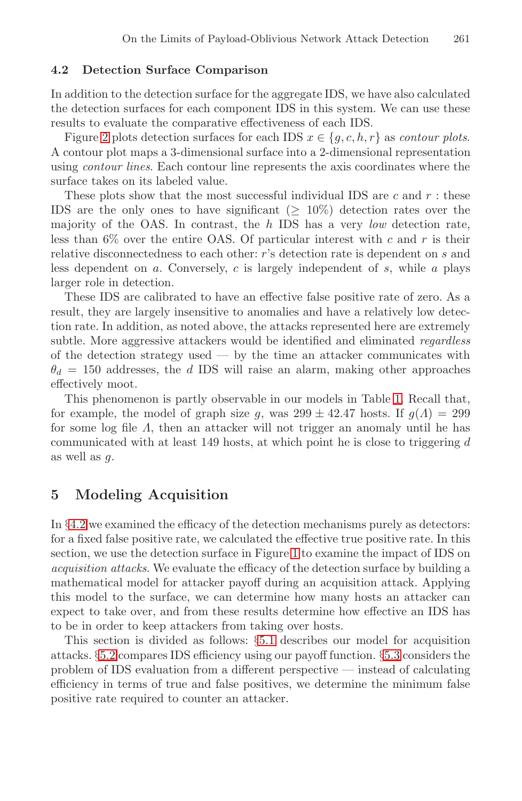# **4.2 Detection Surface Comparison**

In addition to the detection surface for the aggregate IDS, we have also calculated the detection surfaces for each component IDS in this system. We can use these results to evaluate the comparative effectiveness of each IDS.

Figure 2 plots detection surfaces for each IDS  $x \in \{g, c, h, r\}$  as *contour plots*. A contour plot maps a 3-dimensional surface into a 2-dimensional representation using contour lines. Each contour line represents the axis coordinates where the surface takes on its labeled value.

These plots show that the most successful individual IDS are c and  $r$ : these IDS are the only ones to have significant ( $\geq 10\%$ ) detection rates over the majority of the OAS. In contrast, the  $h$  IDS has a very *low* detection rate, less than  $6\%$  over the entire OAS. Of particular interest with c and r is their relative disconnectedness to each other: r's detection rate is dependent on s and less dependent on  $a$ . Conversely,  $c$  is largely independent of  $s$ , while  $a$  plays larger role in detection.

These IDS are calibrated to have an effecti[ve](#page-6-3) false positive rate of zero. As a result, they are largely insensitive to anomalies and have a relatively low detection rate. In addition, as noted above, the attacks represented here are extremely subtle. More aggressive attackers would be identified and eliminated *regardless* of the detection strategy used — by the time an attacker communicates with  $\theta_d = 150$  addresses, the d IDS will raise an alarm, making other approaches effectively moot.

<span id="page-10-0"></span>This phenomenon is partly observable in our models in Table 1. Recall that, for example, the model of graph size g, was  $299 \pm 42.47$  hosts. If  $g(\Lambda) = 299$ for some log file Λ, then an attacker will not trigger an anomaly until he has communicated with at lea[st](#page-9-1) 149 hosts, at which point he is close to triggering  $d$ as well as g.

# **5 Modeling Acquisition**

In §4.2 we examined [the](#page-11-0) efficacy of the detection mechanisms purely as detectors: for a fixed false positive rate, we calculated t[he eff](#page-14-0)ective true positive rate. In this section, we use the detection surface in Figure 1 to examine the impact of IDS on acquisition attacks. We evaluate the efficacy of the detection surface by building a mathematical model for attacker payoff during an acquisition attack. Applying this model to the surface, we can determine how many hosts an attacker can expect to take over, and from these results determine how effective an IDS has to be in order to keep attackers from taking over hosts.

This section is divided as follows: §5.1 describes our model for acquisition attacks. §5.2 compares IDS efficiency using our payoff function. §5.3 considers the problem of IDS evaluation from a different perspective — instead of calculating efficiency in terms of true and false positives, we determine the minimum false positive rate required to counter an attacker.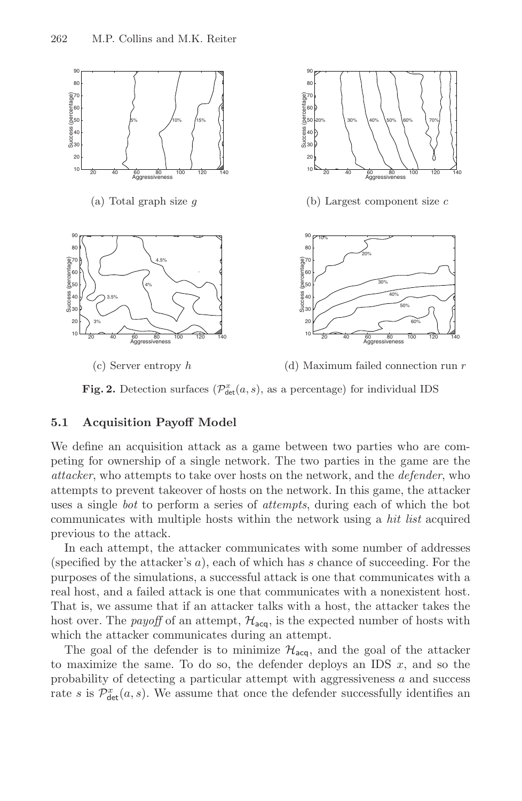

**Fig. 2.** Detection surfaces  $(\mathcal{P}_{\text{det}}^{x}(a, s))$ , as a percentage) for individual IDS

### <span id="page-11-0"></span>**5.1 Acquisition Payoff Model**

We define an acquisition attack as a game between two parties who are competing for ownership of a single network. The two parties in the game are the attacker, who attempts to take over hosts on the network, and the defender, who attempts to prevent takeover of hosts on the network. In this game, the attacker uses a single bot to perform a series of attempts, during each of which the bot communicates with multiple hosts within the network using a hit list acquired previous to the attack.

In each attempt, the attacker communicates with some number of addresses (specified by the attacker's  $a$ ), each of which has s chance of succeeding. For the purposes of the simulations, a successful attack is one that communicates with a real host, and a failed attack is one that communicates with a nonexistent host. That is, we assume that if an attacker talks with a host, the attacker takes the host over. The *payoff* of an attempt,  $H_{\text{acc}}$ , is the expected number of hosts with which the attacker communicates during an attempt.

The goal of the defender is to minimize  $\mathcal{H}_{\text{aca}}$ , and the goal of the attacker to maximize the same. To do so, the defender deploys an IDS  $x$ , and so the probability of detecting a particular attempt with aggressiveness  $a$  and success rate s is  $\mathcal{P}_{\det}^x(a, s)$ . We assume that once the defender successfully identifies an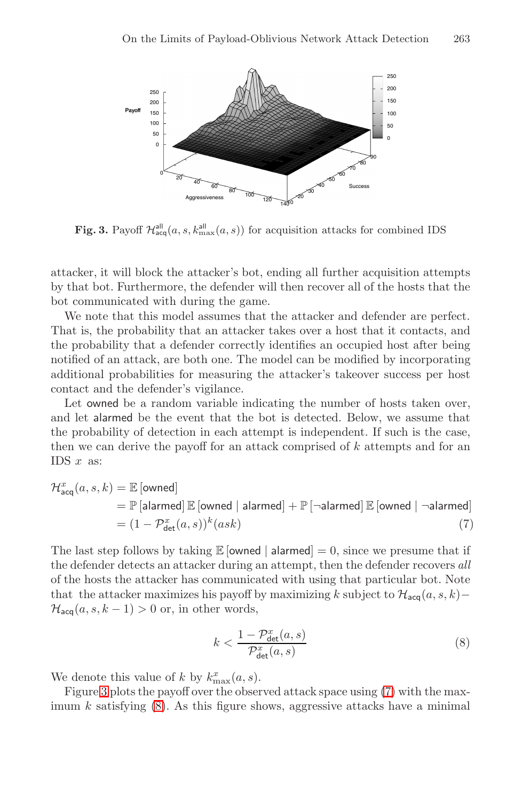

**Fig. 3.** Payoff  $\mathcal{H}_{\text{acq}}^{\text{all}}(a, s, k_{\text{max}}^{\text{all}}(a, s))$  for acquisition attacks for combined IDS

attacker, it will block the attacker's bot, ending all further acquisition attempts by that bot. Furthermore, the defender will then recover all of the hosts that the bot communicated with during the game.

We note that this model assumes that the attacker and defender are perfect. That is, the probability that an attacker takes over a host that it contacts, and the probability that a defender correctly identifies an occupied host after being notified of an attack, are both one. The model can be modified by incorporating additional probabilities for measuring the attacker's takeover success per host contact and the defender's vigilance.

<span id="page-12-0"></span>Let owned be a random variable indicating the number of hosts taken over, and let alarmed be the event that the bot is detected. Below, we assume that the probability of detection in each attempt is independent. If such is the case, then we can derive the payoff for an attack comprised of  $k$  attempts and for an IDS  $x$  as:

<span id="page-12-1"></span>
$$
\mathcal{H}^{x}_{\text{acq}}(a, s, k) = \mathbb{E} \left[ \text{owned} \right]
$$
  
=  $\mathbb{P} \left[ \text{alarmed} \right] \mathbb{E} \left[ \text{owned} \mid \text{alarmed} \right] + \mathbb{P} \left[ \text{-alarmed} \right] \mathbb{E} \left[ \text{owned} \mid \text{-alarmed} \right]$   
=  $(1 - \mathcal{P}^{x}_{\text{det}}(a, s))^{k}(ask)$  (7)

The last step follows by taking  $E$  [owned | alarmed] = 0, since we presume that if the defender detects an attacker during an attempt, then the defender recovers all of the hosts the attacker has communicated [wi](#page-12-0)th using that particular bot. Note [tha](#page-12-1)t the attacker maximizes his payoff by maximizing k subject to  $\mathcal{H}_{acq}(a, s, k)$ −  $\mathcal{H}_{\mathsf{acq}}(a, s, k-1) > 0$  or, in other words,

$$
k < \frac{1 - \mathcal{P}_{\text{det}}^x(a, s)}{\mathcal{P}_{\text{det}}^x(a, s)}\tag{8}
$$

We denote this value of k by  $k_{\text{max}}^x(a, s)$ .

Figure 3 plots the payoff over the observed attack space using (7) with the maximum k satisfying  $(8)$ . As this figure shows, aggressive attacks have a minimal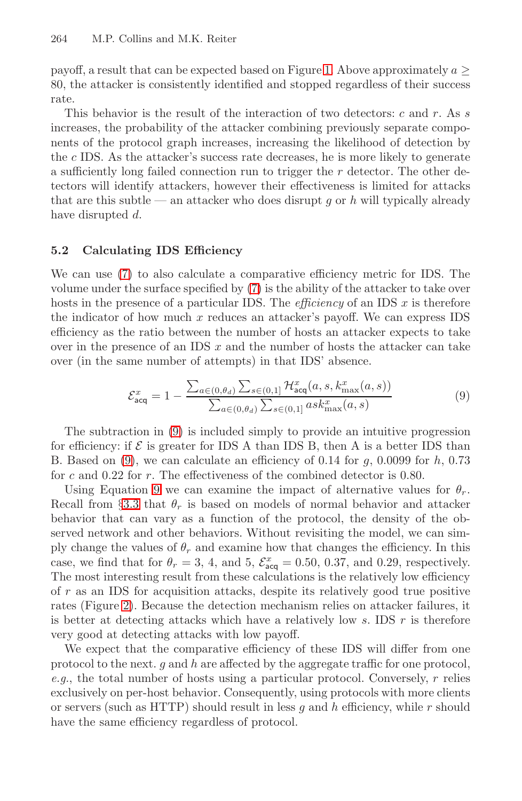payoff, a result that can be expected based on Figure 1. Above approximately  $a \geq$ 80, the attacker is consistently identified and stopped regardless of their success rate.

<span id="page-13-0"></span>This behavior is the result of the interaction of two detectors: c and r. As s increases, the probability of the attacker combining previously separate components of the protocol graph increases, increasing the likelihood of detection by the c IDS. As the attacker's success rate decreases, he is more likely to generate a sufficiently long [fai](#page-12-0)led connection run to trigger the  $r$  detector. The other detectors will identify attackers, however their effectiveness is limited for attacks that are this subtle — an attacker who does disrupt q or h will typically already have disrupted d.

### <span id="page-13-1"></span>**5.2 Calculating IDS Efficiency**

We can use (7) to also calculate a comparative efficiency metric for IDS. The volume under the surface specified by (7) is the ability of the attacker to take over hosts in the presence of a particular IDS. The *efficiency* of an IDS  $x$  is therefore the [in](#page-13-1)dicator of how much  $x$  reduces an attacker's payoff. We can express IDS efficiency as the ratio between the number of hosts an attacker expects to take over in the presence of an IDS  $x$  and the number of hosts the attacker can take over (in the same number of attempts) in that IDS' absence.

$$
\mathcal{E}_{\text{acq}}^{x} = 1 - \frac{\sum_{a \in (0, \theta_d)} \sum_{s \in (0, 1]} \mathcal{H}_{\text{acq}}^{x}(a, s, k_{\text{max}}^{x}(a, s))}{\sum_{a \in (0, \theta_d)} \sum_{s \in (0, 1]} a s k_{\text{max}}^{x}(a, s)}
$$
(9)

The subtraction in (9) is included simply to provide an intuitive progression for efficiency: if  $\mathcal E$  is greater for IDS A than IDS B, then A is a better IDS than B. Based on  $(9)$ , we can calculate an efficiency of 0.14 for q, 0.0099 for h, 0.73 for  $c$  and 0.22 for  $r$ . The effectiveness of the combined detector is 0.80.

Using Equation 9 we can examine the impact of alternative values for  $\theta_r$ . Recall from §3.3 that  $\theta_r$  is based on models of normal behavior and attacker behavior that can vary as a function of the protocol, the density of the observed network and other behaviors. Without revisiting the model, we can simply change the values of  $\theta_r$  and examine how that changes the efficiency. In this case, we find that for  $\theta_r = 3, 4$ , and 5,  $\mathcal{E}_{\text{acq}}^x = 0.50, 0.37$ , and 0.29, respectively. The most interesting result from these calculations is the relatively low efficiency of  $r$  as an IDS for acquisition attacks, despite its relatively good true positive rates (Figure 2). Because the detection mechanism relies on attacker failures, it is better at detecting attacks which have a relatively low s. IDS  $r$  is therefore very good at detecting attacks with low payoff.

We expect that the comparative efficiency of these IDS will differ from one protocol to the next.  $q$  and  $h$  are affected by the aggregate traffic for one protocol, e.g., the total number of hosts using a particular protocol. Conversely,  $r$  relies exclusively on per-host behavior. Consequently, using protocols with more clients or servers (such as HTTP) should result in less  $q$  and  $h$  efficiency, while  $r$  should have the same efficiency regardless of protocol.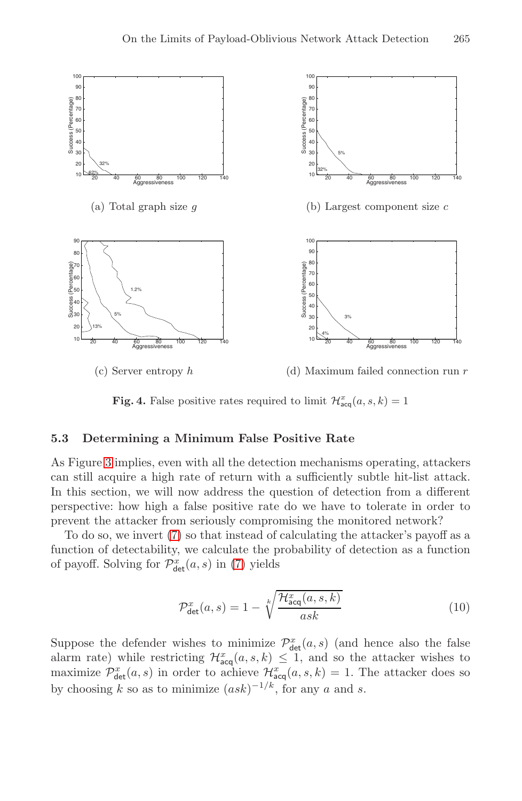

**Fig. 4.** False positive rates required to limit  $\mathcal{H}_{acq}^{x}(a, s, k) = 1$ 

### <span id="page-14-0"></span>**5.3 Determining a Minimum False Positive Rate**

As Figure 3 im[plie](#page-12-0)s, even with all the detection mechanisms operating, attackers can still acquire a high rate of return with a sufficiently subtle hit-list attack. In this section, we will now address the question of detection from a different perspective: how high a false positive rate do we have to tolerate in order to prevent the attacker from seriously compromising the monitored network?

To do so, we invert (7) so that instead of calculating the attacker's payoff as a function of detectability, we calculate the probability of detection as a function of payoff. Solving for  $\mathcal{P}_{\det}^x(a, s)$  in (7) yields

$$
\mathcal{P}_{\text{det}}^x(a,s) = 1 - \sqrt[k]{\frac{\mathcal{H}_{\text{acq}}^x(a,s,k)}{ask}} \tag{10}
$$

Suppose the defender wishes to minimize  $\mathcal{P}^x_{\text{det}}(a, s)$  (and hence also the false alarm rate) while restricting  $\mathcal{H}_{acq}^x(a, s, k) \leq 1$ , and so the attacker wishes to maximize  $\mathcal{P}^x_{\text{det}}(a, s)$  in order to achieve  $\mathcal{H}^x_{\text{acq}}(a, s, k) = 1$ . The attacker does so by choosing k so as to minimize  $(ask)^{-1/k}$ , for any a and s.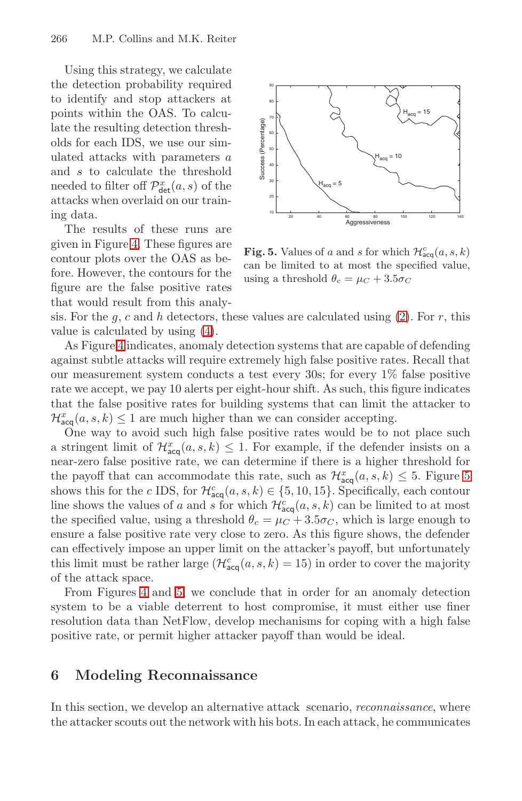Using this strategy, we calculate the detection probability required to identify and stop attackers at points within the OAS. To calculate the resulting detection thresholds for each IDS, we use our simulated attacks with parameters a and s to calculate the threshold needed to filter off  $\mathcal{P}^x_{\text{det}}(a, s)$  of the attacks when overlaid on our training data.

<span id="page-15-0"></span>The re[su](#page-6-1)lts of these runs are given in Figure 4. These figures are contour plots over the OAS as before. However, the contours for the figure are the false positive rates that would result from this analy-



**Fig. 5.** Values of a and s for which  $\mathcal{H}_{acq}^{c}(a, s, k)$ can be limited to at most the specified value, using a threshold  $\theta_c = \mu_C + 3.5\sigma_C$ 

sis. For the g, c and h detectors, these values are calculated using  $(2)$ . For r, this value is calculated by using (4).

As Figure 4 indicates, anomaly detection systems that are capable of defending against subtle attacks will require extremely high false posit[iv](#page-15-0)e rates. Recall that our measurement system conducts a test every 30s; for every 1% false positive rate we accept, we pay 10 alerts per eight-hour shift. As such, this figure indicates that the false positive rates for building systems that can limit the attacker to  $\mathcal{H}^x_{\text{acq}}(a, s, k) \leq 1$  are much higher than we can consider accepting.

One way to avoid such high false positive rates would be to not place such a stringent limit of  $\mathcal{H}_{acq}^{x}(a, s, k) \leq 1$ . For example, if the defender insists on a near-zero false positive rate, we can determine if there is a higher threshold for the [pa](#page-15-0)yoff that can accommodate this rate, such as  $\mathcal{H}_{\text{acq}}^x(a, s, k) \leq 5$ . Figure 5 shows this for the c IDS, for  $\mathcal{H}_{acq}^{c}(a, s, k) \in \{5, 10, 15\}$ . Specifically, each contour line shows the values of a and s for which  $\mathcal{H}^c_{\text{acq}}(a, s, k)$  can be limited to at most the specified value, using a threshold  $\theta_c = \mu_C + 3.5\sigma_C$ , which is large enough to ensure a false positive rate very close to zero. As this figure shows, the defender can effectively impose an upper limit on the attacker's payoff, but unfortunately this limit must be rather large  $(\mathcal{H}^c_{\text{acq}}(a, s, k) = 15)$  in order to cover the majority of the attack space.

From Figures 4 and 5, we conclude that in order for an anomaly detection system to be a viable deterrent to host compromise, it must either use finer resolution data than NetFlow, develop mechanisms for coping with a high false positive rate, or permit higher attacker payoff than would be ideal.

# **6 Modeling Reconnaissance**

In this section, we develop an alternative attack scenario, *reconnaissance*, where the attacker scouts out the network with his bots. In each attack, he communicates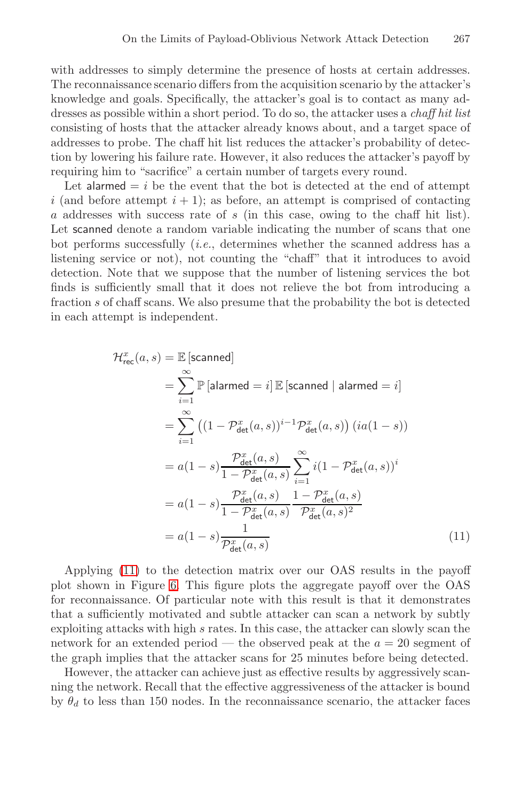with addresses to simply determine the presence of hosts at certain addresses. The reconnaissance scenario differs from the acquisition scenario by the attacker's knowledge and goals. Specifically, the attacker's goal is to contact as many addresses as possible within a short period. To do so, the attacker uses a chaff hit list consisting of hosts that the attacker already knows about, and a target space of addresses to probe. The chaff hit list reduces the attacker's probability of detection by lowering his failure rate. However, it also reduces the attacker's payoff by requiring him to "sacrifice" a certain number of targets every round.

Let alarmed  $= i$  be the event that the bot is detected at the end of attempt i (and before attempt  $i + 1$ ); as before, an attempt is comprised of contacting a addresses with success rate of s (in this case, owing to the chaff hit list). Let scanned denote a random variable indicating the number of scans that one bot performs successfully (i.e., determines whether the scanned address has a listening service or not), not counting the "chaff" that it introduces to avoid detection. Note that we suppose that the number of listening services the bot finds is sufficiently small that it does not relieve the bot from introducing a fraction s of chaff scans. We also presume that the probability the bot is detected in each attempt is independent.

$$
\mathcal{H}_{\text{rec}}^{x}(a, s) = \mathbb{E} \left[\text{scanned}\right]
$$
\n
$$
= \sum_{i=1}^{\infty} \mathbb{P} \left[\text{alarmed} = i\right] \mathbb{E} \left[\text{scanned} \mid \text{alarmed} = i\right]
$$
\n
$$
= \sum_{i=1}^{\infty} \left( (1 - \mathcal{P}_{\text{det}}^{x}(a, s))^{i-1} \mathcal{P}_{\text{det}}^{x}(a, s) \right) (ia(1 - s))
$$
\n
$$
= a(1 - s) \frac{\mathcal{P}_{\text{det}}^{x}(a, s)}{1 - \mathcal{P}_{\text{det}}^{x}(a, s)} \sum_{i=1}^{\infty} i(1 - \mathcal{P}_{\text{det}}^{x}(a, s))^{i}
$$
\n
$$
= a(1 - s) \frac{\mathcal{P}_{\text{det}}^{x}(a, s)}{1 - \mathcal{P}_{\text{det}}^{x}(a, s)} \frac{1 - \mathcal{P}_{\text{det}}^{x}(a, s)}{\mathcal{P}_{\text{det}}^{x}(a, s)^{2}}
$$
\n
$$
= a(1 - s) \frac{1}{\mathcal{P}_{\text{det}}^{x}(a, s)} \tag{11}
$$

Applying (11) to the detection matrix over our OAS results in the payoff plot shown in Figure 6. This figure plots the aggregate payoff over the OAS for reconnaissance. Of particular note with this result is that it demonstrates that a sufficiently motivated and subtle attacker can scan a network by subtly exploiting attacks with high s rates. In this case, the attacker can slowly scan the network for an extended period — the observed peak at the  $a = 20$  segment of the graph implies that the attacker scans for 25 minutes before being detected.

However, the attacker can achieve just as effective results by aggressively scanning the network. Recall that the effective aggressiveness of the attacker is bound by  $\theta_d$  to less than 150 nodes. In the reconnaissance scenario, the attacker faces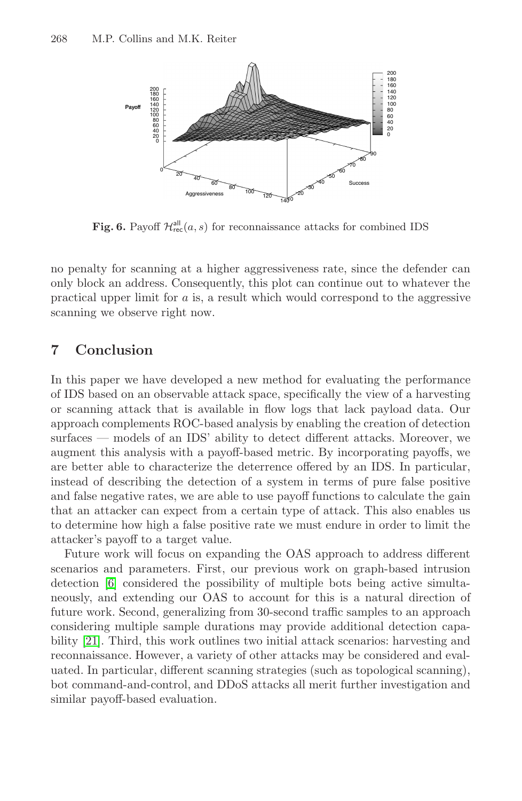

**Fig. 6.** Payoff  $\mathcal{H}^{\text{all}}_{\text{rec}}(a,s)$  for reconnaissance attacks for combined IDS

no penalty for scanning at a higher aggressiveness rate, since the defender can only block an address. Consequently, this plot can continue out to whatever the practical upper limit for a is, a result which would correspond to the aggressive scanning we observe right now.

# **7 Conclusion**

In this paper we have developed a new method for evaluating the performance of IDS based on an observable attack space, specifically the view of a harvesting or scanning attack that is available in flow logs that lack payload data. Our approach complements ROC-based analysis by enabling the creation of detection surfaces — models of an IDS' ability to detect different attacks. Moreover, we augment this analysis with a payoff-based metric. By incorporating payoffs, we are better able to characterize the deterrence offered by an IDS. In particular, instead of describing the detection of a system in terms of pure false positive and false negative rates, we are able to use payoff functions to calculate the gain that an attacker can expect from a certain type of attack. This also enables us to determine how high a false positive rate we must endure in order to limit the attacker's payoff to a target value.

Future work will focus on expanding the OAS approach to address different scenarios and parameters. First, our previous work on graph-based intrusion detection [6] considered the possibility of multiple bots being active simultaneously, and extending our OAS to account for this is a natural direction of future work. Second, generalizing from 30-second traffic samples to an approach considering multiple sample durations may provide additional detection capability [21]. Third, this work outlines two initial attack scenarios: harvesting and reconnaissance. However, a variety of other attacks may be considered and evaluated. In particular, different scanning strategies (such as topological scanning), bot command-and-control, and DDoS attacks all merit further investigation and similar payoff-based evaluation.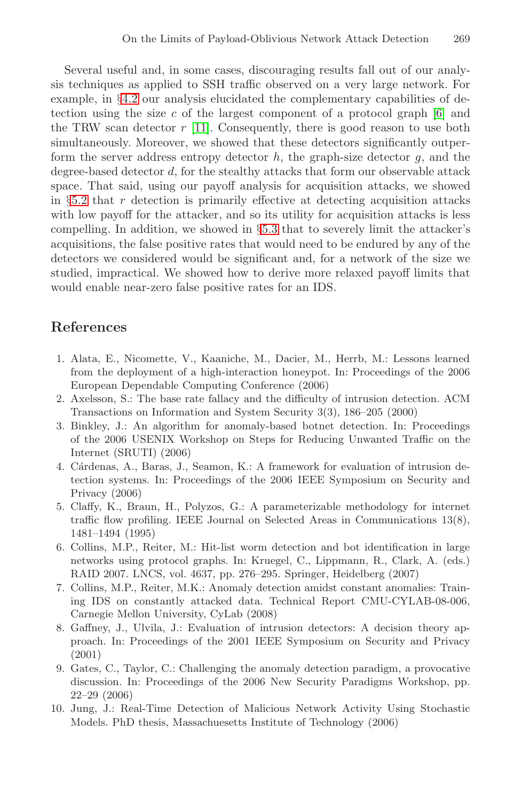Several useful and, in some cases, discouraging results fall out of our analysis techniques as applied to SSH traffic observed on a very large network. For example, in §4.2 our analysis elucidated the complementary capabilities of detection using the si[ze](#page-14-0) c of the largest component of a protocol graph  $[6]$  and the TRW scan detector  $r$  [11]. Consequently, there is good reason to use both simultaneously. Moreover, we showed that these detectors significantly outperform the server address entropy detector  $h$ , the graph-size detector  $q$ , and the degree-based detector d, for the stealthy attacks that form our observable attack space. That said, using our payoff analysis for acquisition attacks, we showed in §5.2 that r detection is primarily effective at detecting acquisition attacks with low payoff for the attacker, and so its utility for acquisition attacks is less compelling. In addition, we showed in §5.3 that to severely limit the attacker's acquisitions, the false positive rates that would need to be endured by any of the detectors we considered would be significant and, for a network of the size we studied, impractical. We showed how to derive more relaxed payoff limits that would enable near-zero false positive rates for an IDS.

# <span id="page-18-5"></span><span id="page-18-4"></span><span id="page-18-2"></span>**References**

- 1. Alata, E., Nicomette, V., Kaaniche, M., Dacier, M., Herrb, M.: Lessons learned from the deployment of a high-interaction honeypot. In: Proceedings of the 2006 European Dependable Computing Conference (2006)
- 2. Axelsson, S.: The base rate fallacy and the difficulty of intrusion detection. ACM Transactions on Information and System Security 3(3), 186–205 (2000)
- <span id="page-18-1"></span>3. Binkley, J.: An algorithm for anomaly-based botnet detection. In: Proceedings of the 2006 USENIX Workshop on Steps for Reducing Unwanted Traffic on the Internet (SRUTI) (2006)
- <span id="page-18-3"></span>4. Cárdenas, A., Baras, J., Seamon, K.: A framework for evaluation of intrusion detection systems. In: Proceedings of the 2006 IEEE Symposium on Security and Privacy (2006)
- 5. Claffy, K., Braun, H., Polyzos, G.: A parameterizable methodology for internet traffic flow profiling. IEEE Journal on Selected Areas in Communications 13(8), 1481–1494 (1995)
- <span id="page-18-0"></span>6. Collins, M.P., Reiter, M.: Hit-list worm detection and bot identification in large networks using protocol graphs. In: Kruegel, C., Lippmann, R., Clark, A. (eds.) RAID 2007. LNCS, vol. 4637, pp. 276–295. Springer, Heidelberg (2007)
- <span id="page-18-6"></span>7. Collins, M.P., Reiter, M.K.: Anomaly detection amidst constant anomalies: Training IDS on constantly attacked data. Technical Report CMU-CYLAB-08-006, Carnegie Mellon University, CyLab (2008)
- 8. Gaffney, J., Ulvila, J.: Evaluation of intrusion detectors: A decision theory approach. In: Proceedings of the 2001 IEEE Symposium on Security and Privacy (2001)
- 9. Gates, C., Taylor, C.: Challenging the anomaly detection paradigm, a provocative discussion. In: Proceedings of the 2006 New Security Paradigms Workshop, pp. 22–29 (2006)
- 10. Jung, J.: Real-Time Detection of Malicious Network Activity Using Stochastic Models. PhD thesis, Massachuesetts Institute of Technology (2006)